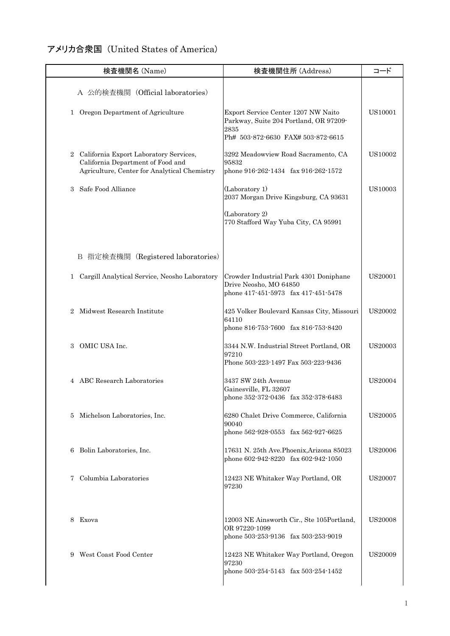## アメリカ合衆国 (United States of America)

| 検査機関名 (Name)                                                                                                                  | 検査機関住所 (Address)                                                                                                            | コード            |
|-------------------------------------------------------------------------------------------------------------------------------|-----------------------------------------------------------------------------------------------------------------------------|----------------|
| A 公的検査機関 (Official laboratories)                                                                                              |                                                                                                                             |                |
| 1 Oregon Department of Agriculture                                                                                            | Export Service Center 1207 NW Naito<br>Parkway, Suite 204 Portland, OR 97209-<br>2835<br>Ph# 503-872-6630 FAX# 503-872-6615 | US10001        |
| 2 California Export Laboratory Services,<br>California Department of Food and<br>Agriculture, Center for Analytical Chemistry | 3292 Meadowview Road Sacramento, CA<br>95832<br>phone 916-262-1434 fax 916-262-1572                                         | US10002        |
| Safe Food Alliance<br>3                                                                                                       | (Laboratory 1)<br>2037 Morgan Drive Kingsburg, CA 93631                                                                     | <b>US10003</b> |
|                                                                                                                               | (Laboratory 2)<br>770 Stafford Way Yuba City, CA 95991                                                                      |                |
| B 指定検査機関 (Registered laboratories)                                                                                            |                                                                                                                             |                |
| 1 Cargill Analytical Service, Neosho Laboratory                                                                               | Crowder Industrial Park 4301 Doniphane<br>Drive Neosho, MO 64850<br>phone 417-451-5973 fax 417-451-5478                     | US20001        |
| 2 Midwest Research Institute                                                                                                  | 425 Volker Boulevard Kansas City, Missouri<br>64110<br>phone 816-753-7600 fax 816-753-8420                                  | <b>US20002</b> |
| 3 OMIC USA Inc.                                                                                                               | 3344 N.W. Industrial Street Portland, OR<br>97210<br>Phone 503-223-1497 Fax 503-223-9436                                    | <b>US20003</b> |
| 4 ABC Research Laboratories                                                                                                   | 3437 SW 24th Avenue<br>Gainesville, FL 32607<br>phone 352-372-0436 fax 352-378-6483                                         | US20004        |
| Michelson Laboratories, Inc.<br>5                                                                                             | 6280 Chalet Drive Commerce, California<br>90040<br>phone 562-928-0553 fax 562-927-6625                                      | US20005        |
| Bolin Laboratories, Inc.<br>6                                                                                                 | 17631 N. 25th Ave. Phoenix, Arizona 85023<br>phone 602-942-8220 fax 602-942-1050                                            | <b>US20006</b> |
| Columbia Laboratories<br>7                                                                                                    | 12423 NE Whitaker Way Portland, OR<br>97230                                                                                 | US20007        |
| Exova<br>8                                                                                                                    | 12003 NE Ainsworth Cir., Ste 105Portland,<br>OR 97220-1099<br>phone 503-253-9136 fax 503-253-9019                           | <b>US20008</b> |
| West Coast Food Center<br>9                                                                                                   | 12423 NE Whitaker Way Portland, Oregon<br>97230<br>phone 503-254-5143 fax 503-254-1452                                      | US20009        |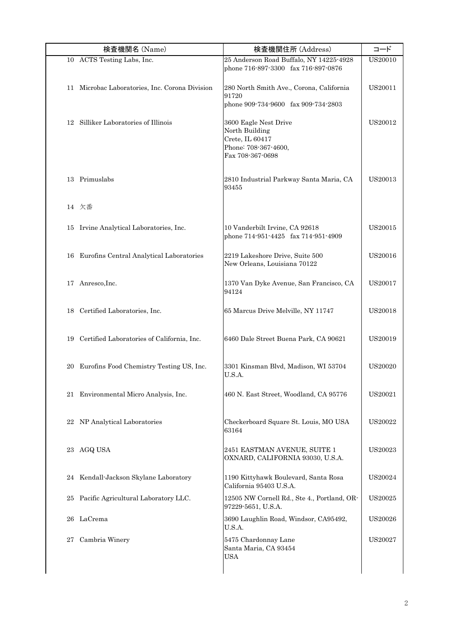|    | 検査機関名 (Name)                                   | 検査機関住所 (Address)                                                                                       | コード            |
|----|------------------------------------------------|--------------------------------------------------------------------------------------------------------|----------------|
|    | 10 ACTS Testing Labs, Inc.                     | 25 Anderson Road Buffalo, NY 14225-4928<br>phone 716-897-3300 fax 716-897-0876                         | US20010        |
|    | 11 Microbac Laboratories, Inc. Corona Division | 280 North Smith Ave., Corona, California<br>91720<br>phone 909-734-9600 fax 909-734-2803               | US20011        |
| 12 | Silliker Laboratories of Illinois              | 3600 Eagle Nest Drive<br>North Building<br>Crete, IL 60417<br>Phone: 708-367-4600,<br>Fax 708-367-0698 | US20012        |
|    | 13 Primuslabs                                  | 2810 Industrial Parkway Santa Maria, CA<br>93455                                                       | US20013        |
|    | 14 欠番                                          |                                                                                                        |                |
| 15 | Irvine Analytical Laboratories, Inc.           | 10 Vanderbilt Irvine, CA 92618<br>phone 714-951-4425 fax 714-951-4909                                  | US20015        |
| 16 | Eurofins Central Analytical Laboratories       | 2219 Lakeshore Drive, Suite 500<br>New Orleans, Louisiana 70122                                        | US20016        |
|    | 17 Anresco, Inc.                               | 1370 Van Dyke Avenue, San Francisco, CA<br>94124                                                       | US20017        |
|    | 18 Certified Laboratories, Inc.                | 65 Marcus Drive Melville, NY 11747                                                                     | <b>US20018</b> |
|    | 19 Certified Laboratories of California, Inc.  | 6460 Dale Street Buena Park, CA 90621                                                                  | US20019        |
| 20 | Eurofins Food Chemistry Testing US, Inc.       | 3301 Kinsman Blvd, Madison, WI 53704<br>U.S.A.                                                         | <b>US20020</b> |
|    | 21 Environmental Micro Analysis, Inc.          | 460 N. East Street, Woodland, CA 95776                                                                 | US20021        |
| 22 | NP Analytical Laboratories                     | Checkerboard Square St. Louis, MO USA<br>63164                                                         | US20022        |
| 23 | AGQ USA                                        | 2451 EASTMAN AVENUE, SUITE 1<br>OXNARD, CALIFORNIA 93030, U.S.A.                                       | US20023        |
| 24 | Kendall-Jackson Skylane Laboratory             | 1190 Kittyhawk Boulevard, Santa Rosa<br>California 95403 U.S.A.                                        | US20024        |
| 25 | Pacific Agricultural Laboratory LLC.           | 12505 NW Cornell Rd., Ste 4., Portland, OR-<br>97229-5651, U.S.A.                                      | US20025        |
| 26 | LaCrema                                        | 3690 Laughlin Road, Windsor, CA95492,<br>U.S.A.                                                        | US20026        |
| 27 | Cambria Winery                                 | 5475 Chardonnay Lane<br>Santa Maria, CA 93454<br><b>USA</b>                                            | US20027        |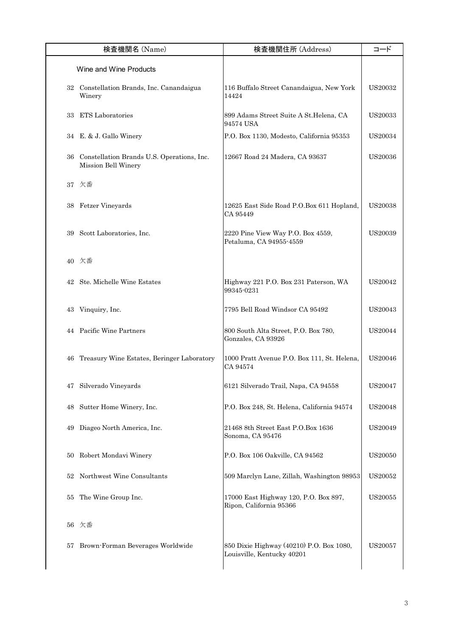|    | 検査機関名 (Name)                                                      | 検査機関住所 (Address)                                                       | コード            |
|----|-------------------------------------------------------------------|------------------------------------------------------------------------|----------------|
|    | Wine and Wine Products                                            |                                                                        |                |
|    | 32 Constellation Brands, Inc. Canandaigua<br>Winery               | 116 Buffalo Street Canandaigua, New York<br>14424                      | <b>US20032</b> |
| 33 | <b>ETS</b> Laboratories                                           | 899 Adams Street Suite A St. Helena, CA<br>94574 USA                   | <b>US20033</b> |
|    | 34 E. & J. Gallo Winery                                           | P.O. Box 1130, Modesto, California 95353                               | US20034        |
| 36 | Constellation Brands U.S. Operations, Inc.<br>Mission Bell Winery | 12667 Road 24 Madera, CA 93637                                         | <b>US20036</b> |
|    | 37 欠番                                                             |                                                                        |                |
| 38 | Fetzer Vineyards                                                  | 12625 East Side Road P.O.Box 611 Hopland,<br>CA 95449                  | <b>US20038</b> |
| 39 | Scott Laboratories, Inc.                                          | 2220 Pine View Way P.O. Box 4559,<br>Petaluma, CA 94955-4559           | US20039        |
|    | 40 欠番                                                             |                                                                        |                |
| 42 | Ste. Michelle Wine Estates                                        | Highway 221 P.O. Box 231 Paterson, WA<br>99345-0231                    | US20042        |
| 43 | Vinquiry, Inc.                                                    | 7795 Bell Road Windsor CA 95492                                        | US20043        |
|    | 44 Pacific Wine Partners                                          | 800 South Alta Street, P.O. Box 780,<br>Gonzales, CA 93926             | US20044        |
| 46 | Treasury Wine Estates, Beringer Laboratory                        | 1000 Pratt Avenue P.O. Box 111, St. Helena,<br>CA 94574                | <b>US20046</b> |
| 47 | Silverado Vineyards                                               | 6121 Silverado Trail, Napa, CA 94558                                   | US20047        |
| 48 | Sutter Home Winery, Inc.                                          | P.O. Box 248, St. Helena, California 94574                             | <b>US20048</b> |
| 49 | Diageo North America, Inc.                                        | 21468 8th Street East P.O.Box 1636<br>Sonoma, CA 95476                 | US20049        |
| 50 | Robert Mondavi Winery                                             | P.O. Box 106 Oakville, CA 94562                                        | <b>US20050</b> |
| 52 | Northwest Wine Consultants                                        | 509 Marclyn Lane, Zillah, Washington 98953                             | US20052        |
| 55 | The Wine Group Inc.                                               | 17000 East Highway 120, P.O. Box 897,<br>Ripon, California 95366       | US20055        |
| 56 | 欠番                                                                |                                                                        |                |
| 57 | Brown-Forman Beverages Worldwide                                  | 850 Dixie Highway (40210) P.O. Box 1080,<br>Louisville, Kentucky 40201 | US20057        |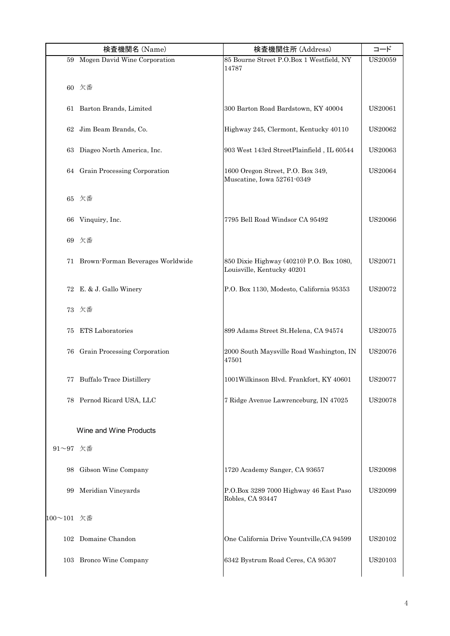|            | 検査機関名 (Name)                        | 検査機関住所 (Address)                                                       | コード            |
|------------|-------------------------------------|------------------------------------------------------------------------|----------------|
|            | 59 Mogen David Wine Corporation     | 85 Bourne Street P.O.Box 1 Westfield, NY<br>14787                      | <b>US20059</b> |
|            | 60 欠番                               |                                                                        |                |
|            | 61 Barton Brands, Limited           | 300 Barton Road Bardstown, KY 40004                                    | <b>US20061</b> |
|            | 62 Jim Beam Brands, Co.             | Highway 245, Clermont, Kentucky 40110                                  | US20062        |
|            | 63 Diageo North America, Inc.       | 903 West 143rd StreetPlainfield, IL 60544                              | <b>US20063</b> |
|            | 64 Grain Processing Corporation     | 1600 Oregon Street, P.O. Box 349,<br>Muscatine, Iowa 52761-0349        | <b>US20064</b> |
|            | 65 欠番                               |                                                                        |                |
| 66         | Vinquiry, Inc.                      | 7795 Bell Road Windsor CA 95492                                        | <b>US20066</b> |
|            | 69 欠番                               |                                                                        |                |
|            | 71 Brown-Forman Beverages Worldwide | 850 Dixie Highway (40210) P.O. Box 1080,<br>Louisville, Kentucky 40201 | US20071        |
|            | 72 E. & J. Gallo Winery             | P.O. Box 1130, Modesto, California 95353                               | US20072        |
|            | 73 欠番                               |                                                                        |                |
| 75         | <b>ETS</b> Laboratories             | 899 Adams Street St.Helena, CA 94574                                   | US20075        |
|            | 76 Grain Processing Corporation     | 2000 South Maysville Road Washington, IN<br>47501                      | <b>US20076</b> |
|            | 77 Buffalo Trace Distillery         | 1001Wilkinson Blvd. Frankfort, KY 40601                                | US20077        |
|            | 78 Pernod Ricard USA, LLC           | 7 Ridge Avenue Lawrenceburg, IN 47025                                  | <b>US20078</b> |
|            | Wine and Wine Products              |                                                                        |                |
| 91~97 欠番   |                                     |                                                                        |                |
|            | 98 Gibson Wine Company              | 1720 Academy Sanger, CA 93657                                          | US20098        |
|            | 99 Meridian Vineyards               | P.O.Box 3289 7000 Highway 46 East Paso<br>Robles, CA 93447             | US20099        |
| 100~101 欠番 |                                     |                                                                        |                |
|            | 102 Domaine Chandon                 | One California Drive Yountville, CA 94599                              | US20102        |
|            | 103 Bronco Wine Company             | 6342 Bystrum Road Ceres, CA 95307                                      | US20103        |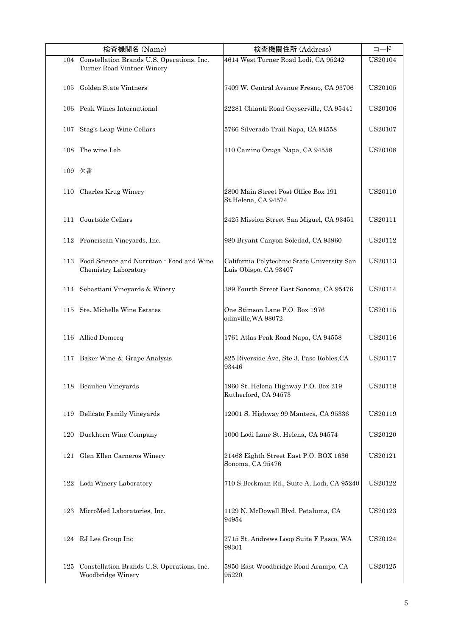|     | 検査機関名 (Name)                                                                 | 検査機関住所 (Address)                                                     | コード            |
|-----|------------------------------------------------------------------------------|----------------------------------------------------------------------|----------------|
|     | 104 Constellation Brands U.S. Operations, Inc.<br>Turner Road Vintner Winery | 4614 West Turner Road Lodi, CA 95242                                 | US20104        |
|     | 105 Golden State Vintners                                                    | 7409 W. Central Avenue Fresno, CA 93706                              | US20105        |
|     | 106 Peak Wines International                                                 | 22281 Chianti Road Geyserville, CA 95441                             | <b>US20106</b> |
| 107 | Stag's Leap Wine Cellars                                                     | 5766 Silverado Trail Napa, CA 94558                                  | US20107        |
| 108 | The wine Lab                                                                 | 110 Camino Oruga Napa, CA 94558                                      | <b>US20108</b> |
|     | 109 欠番                                                                       |                                                                      |                |
| 110 | Charles Krug Winery                                                          | 2800 Main Street Post Office Box 191<br>St.Helena, CA 94574          | US20110        |
| 111 | Courtside Cellars                                                            | 2425 Mission Street San Miguel, CA 93451                             | US20111        |
| 112 | Franciscan Vineyards, Inc.                                                   | 980 Bryant Canyon Soledad, CA 93960                                  | US20112        |
|     | 113 Food Science and Nutrition - Food and Wine<br>Chemistry Laboratory       | California Polytechnic State University San<br>Luis Obispo, CA 93407 | US20113        |
|     | 114 Sebastiani Vineyards & Winery                                            | 389 Fourth Street East Sonoma, CA 95476                              | US20114        |
| 115 | Ste. Michelle Wine Estates                                                   | One Stimson Lane P.O. Box 1976<br>odinville, WA 98072                | US20115        |
|     | 116 Allied Domecq                                                            | 1761 Atlas Peak Road Napa, CA 94558                                  | US20116        |
|     | 117 Baker Wine & Grape Analysis                                              | 825 Riverside Ave, Ste 3, Paso Robles, CA<br>93446                   | US20117        |
|     | 118 Beaulieu Vineyards                                                       | 1960 St. Helena Highway P.O. Box 219<br>Rutherford, CA 94573         | US20118        |
| 119 | Delicato Family Vineyards                                                    | 12001 S. Highway 99 Manteca, CA 95336                                | US20119        |
|     | 120 Duckhorn Wine Company                                                    | 1000 Lodi Lane St. Helena, CA 94574                                  | US20120        |
| 121 | Glen Ellen Carneros Winery                                                   | 21468 Eighth Street East P.O. BOX 1636<br>Sonoma, CA 95476           | US20121        |
|     | 122 Lodi Winery Laboratory                                                   | 710 S.Beckman Rd., Suite A, Lodi, CA 95240                           | US20122        |
| 123 | MicroMed Laboratories, Inc.                                                  | 1129 N. McDowell Blvd. Petaluma, CA<br>94954                         | US20123        |
|     | 124 RJ Lee Group Inc                                                         | 2715 St. Andrews Loop Suite F Pasco, WA<br>99301                     | US20124        |
| 125 | Constellation Brands U.S. Operations, Inc.<br>Woodbridge Winery              | 5950 East Woodbridge Road Acampo, CA<br>95220                        | US20125        |